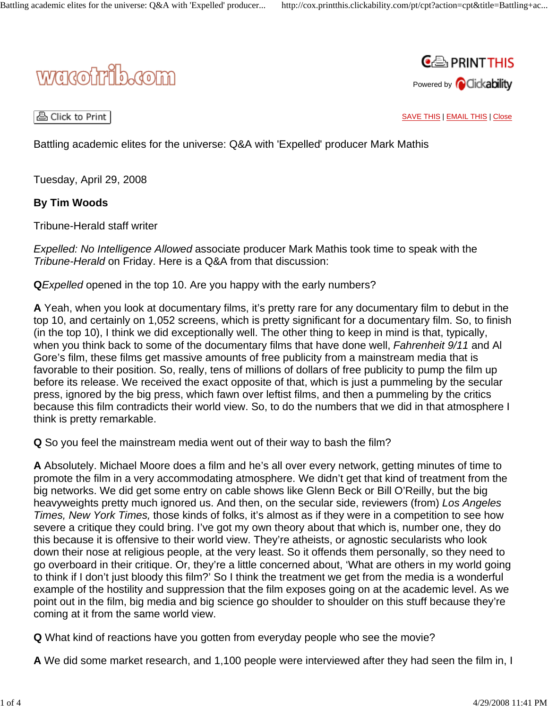



A Click to Print |

SAVE THIS | EMAIL THIS | Close

Battling academic elites for the universe: Q&A with 'Expelled' producer Mark Mathis

Tuesday, April 29, 2008

## **By Tim Woods**

Tribune-Herald staff writer

*Expelled: No Intelligence Allowed* associate producer Mark Mathis took time to speak with the *Tribune-Herald* on Friday. Here is a Q&A from that discussion:

**Q***Expelled* opened in the top 10. Are you happy with the early numbers?

**A** Yeah, when you look at documentary films, it's pretty rare for any documentary film to debut in the top 10, and certainly on 1,052 screens, which is pretty significant for a documentary film. So, to finish (in the top 10), I think we did exceptionally well. The other thing to keep in mind is that, typically, when you think back to some of the documentary films that have done well, *Fahrenheit 9/11* and Al Gore's film, these films get massive amounts of free publicity from a mainstream media that is favorable to their position. So, really, tens of millions of dollars of free publicity to pump the film up before its release. We received the exact opposite of that, which is just a pummeling by the secular press, ignored by the big press, which fawn over leftist films, and then a pummeling by the critics because this film contradicts their world view. So, to do the numbers that we did in that atmosphere I think is pretty remarkable.

**Q** So you feel the mainstream media went out of their way to bash the film?

**A** Absolutely. Michael Moore does a film and he's all over every network, getting minutes of time to promote the film in a very accommodating atmosphere. We didn't get that kind of treatment from the big networks. We did get some entry on cable shows like Glenn Beck or Bill O'Reilly, but the big heavyweights pretty much ignored us. And then, on the secular side, reviewers (from) *Los Angeles Times, New York Times,* those kinds of folks, it's almost as if they were in a competition to see how severe a critique they could bring. I've got my own theory about that which is, number one, they do this because it is offensive to their world view. They're atheists, or agnostic secularists who look down their nose at religious people, at the very least. So it offends them personally, so they need to go overboard in their critique. Or, they're a little concerned about, 'What are others in my world going to think if I don't just bloody this film?' So I think the treatment we get from the media is a wonderful example of the hostility and suppression that the film exposes going on at the academic level. As we point out in the film, big media and big science go shoulder to shoulder on this stuff because they're coming at it from the same world view.

**Q** What kind of reactions have you gotten from everyday people who see the movie?

**A** We did some market research, and 1,100 people were interviewed after they had seen the film in, I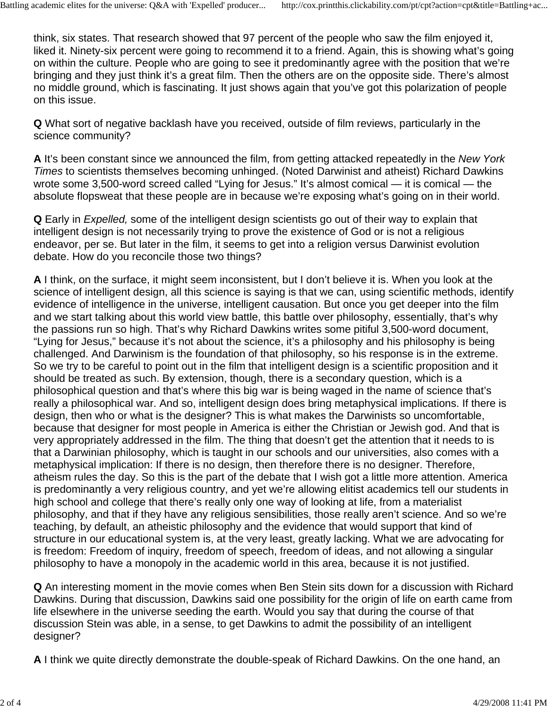think, six states. That research showed that 97 percent of the people who saw the film enjoyed it, liked it. Ninety-six percent were going to recommend it to a friend. Again, this is showing what's going on within the culture. People who are going to see it predominantly agree with the position that we're bringing and they just think it's a great film. Then the others are on the opposite side. There's almost no middle ground, which is fascinating. It just shows again that you've got this polarization of people on this issue.

**Q** What sort of negative backlash have you received, outside of film reviews, particularly in the science community?

**A** It's been constant since we announced the film, from getting attacked repeatedly in the *New York Times* to scientists themselves becoming unhinged. (Noted Darwinist and atheist) Richard Dawkins wrote some 3,500-word screed called "Lying for Jesus." It's almost comical — it is comical — the absolute flopsweat that these people are in because we're exposing what's going on in their world.

**Q** Early in *Expelled,* some of the intelligent design scientists go out of their way to explain that intelligent design is not necessarily trying to prove the existence of God or is not a religious endeavor, per se. But later in the film, it seems to get into a religion versus Darwinist evolution debate. How do you reconcile those two things?

**A** I think, on the surface, it might seem inconsistent, but I don't believe it is. When you look at the science of intelligent design, all this science is saying is that we can, using scientific methods, identify evidence of intelligence in the universe, intelligent causation. But once you get deeper into the film and we start talking about this world view battle, this battle over philosophy, essentially, that's why the passions run so high. That's why Richard Dawkins writes some pitiful 3,500-word document, "Lying for Jesus," because it's not about the science, it's a philosophy and his philosophy is being challenged. And Darwinism is the foundation of that philosophy, so his response is in the extreme. So we try to be careful to point out in the film that intelligent design is a scientific proposition and it should be treated as such. By extension, though, there is a secondary question, which is a philosophical question and that's where this big war is being waged in the name of science that's really a philosophical war. And so, intelligent design does bring metaphysical implications. If there is design, then who or what is the designer? This is what makes the Darwinists so uncomfortable, because that designer for most people in America is either the Christian or Jewish god. And that is very appropriately addressed in the film. The thing that doesn't get the attention that it needs to is that a Darwinian philosophy, which is taught in our schools and our universities, also comes with a metaphysical implication: If there is no design, then therefore there is no designer. Therefore, atheism rules the day. So this is the part of the debate that I wish got a little more attention. America is predominantly a very religious country, and yet we're allowing elitist academics tell our students in high school and college that there's really only one way of looking at life, from a materialist philosophy, and that if they have any religious sensibilities, those really aren't science. And so we're teaching, by default, an atheistic philosophy and the evidence that would support that kind of structure in our educational system is, at the very least, greatly lacking. What we are advocating for is freedom: Freedom of inquiry, freedom of speech, freedom of ideas, and not allowing a singular philosophy to have a monopoly in the academic world in this area, because it is not justified.

**Q** An interesting moment in the movie comes when Ben Stein sits down for a discussion with Richard Dawkins. During that discussion, Dawkins said one possibility for the origin of life on earth came from life elsewhere in the universe seeding the earth. Would you say that during the course of that discussion Stein was able, in a sense, to get Dawkins to admit the possibility of an intelligent designer?

**A** I think we quite directly demonstrate the double-speak of Richard Dawkins. On the one hand, an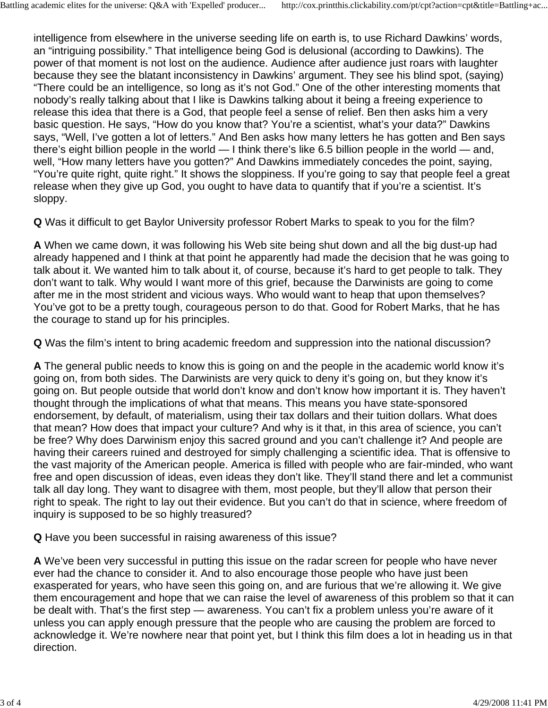intelligence from elsewhere in the universe seeding life on earth is, to use Richard Dawkins' words, an "intriguing possibility." That intelligence being God is delusional (according to Dawkins). The power of that moment is not lost on the audience. Audience after audience just roars with laughter because they see the blatant inconsistency in Dawkins' argument. They see his blind spot, (saying) "There could be an intelligence, so long as it's not God." One of the other interesting moments that nobody's really talking about that I like is Dawkins talking about it being a freeing experience to release this idea that there is a God, that people feel a sense of relief. Ben then asks him a very basic question. He says, "How do you know that? You're a scientist, what's your data?" Dawkins says, "Well, I've gotten a lot of letters." And Ben asks how many letters he has gotten and Ben says there's eight billion people in the world — I think there's like 6.5 billion people in the world — and, well, "How many letters have you gotten?" And Dawkins immediately concedes the point, saying, "You're quite right, quite right." It shows the sloppiness. If you're going to say that people feel a great release when they give up God, you ought to have data to quantify that if you're a scientist. It's sloppy.

**Q** Was it difficult to get Baylor University professor Robert Marks to speak to you for the film?

**A** When we came down, it was following his Web site being shut down and all the big dust-up had already happened and I think at that point he apparently had made the decision that he was going to talk about it. We wanted him to talk about it, of course, because it's hard to get people to talk. They don't want to talk. Why would I want more of this grief, because the Darwinists are going to come after me in the most strident and vicious ways. Who would want to heap that upon themselves? You've got to be a pretty tough, courageous person to do that. Good for Robert Marks, that he has the courage to stand up for his principles.

**Q** Was the film's intent to bring academic freedom and suppression into the national discussion?

**A** The general public needs to know this is going on and the people in the academic world know it's going on, from both sides. The Darwinists are very quick to deny it's going on, but they know it's going on. But people outside that world don't know and don't know how important it is. They haven't thought through the implications of what that means. This means you have state-sponsored endorsement, by default, of materialism, using their tax dollars and their tuition dollars. What does that mean? How does that impact your culture? And why is it that, in this area of science, you can't be free? Why does Darwinism enjoy this sacred ground and you can't challenge it? And people are having their careers ruined and destroyed for simply challenging a scientific idea. That is offensive to the vast majority of the American people. America is filled with people who are fair-minded, who want free and open discussion of ideas, even ideas they don't like. They'll stand there and let a communist talk all day long. They want to disagree with them, most people, but they'll allow that person their right to speak. The right to lay out their evidence. But you can't do that in science, where freedom of inquiry is supposed to be so highly treasured?

**Q** Have you been successful in raising awareness of this issue?

**A** We've been very successful in putting this issue on the radar screen for people who have never ever had the chance to consider it. And to also encourage those people who have just been exasperated for years, who have seen this going on, and are furious that we're allowing it. We give them encouragement and hope that we can raise the level of awareness of this problem so that it can be dealt with. That's the first step — awareness. You can't fix a problem unless you're aware of it unless you can apply enough pressure that the people who are causing the problem are forced to acknowledge it. We're nowhere near that point yet, but I think this film does a lot in heading us in that direction.